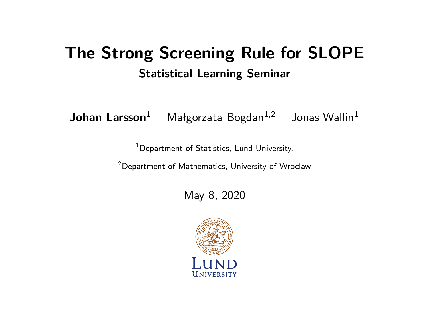# **The Strong Screening Rule for SLOPE Statistical Learning Seminar**

**Johan Larsson**<sup>1</sup> Małgorzata Bogdan<sup>1,2</sup> Jonas Wallin<sup>1</sup>

<sup>1</sup> Department of Statistics, Lund University,

<sup>2</sup>Department of Mathematics, University of Wroclaw

May 8, 2020

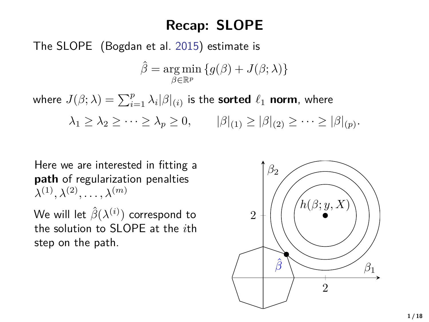## **Recap: SLOPE**

The SLOPE (Bogdan et al. [2015\)](#page-21-0) estimate is

$$
\hat{\beta} = \underset{\beta \in \mathbb{R}^p}{\arg \min} \{ g(\beta) + J(\beta; \lambda) \}
$$

where  $J(\beta; \lambda) = \sum_{i=1}^{p} \lambda_i |\beta|_{(i)}$  is the **sorted**  $\ell_1$  **norm**, where

 $\lambda_1 \geq \lambda_2 \geq \cdots \geq \lambda_p \geq 0,$   $|\beta|_{(1)} \geq |\beta|_{(2)} \geq \cdots \geq |\beta|_{(p)}.$ 

Here we are interested in fitting a **path** of regularization penalties  $\lambda^{(1)}, \lambda^{(2)}, \ldots, \lambda^{(m)}$ 

We will let  $\hat{\beta}(\lambda^{(i)})$  correspond to the solution to SLOPE at the *i*th step on the path.

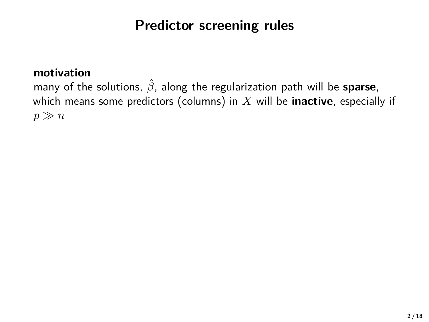## **Predictor screening rules**

#### **motivation**

many of the solutions, *β*ˆ, along the regularization path will be **sparse**, which means some predictors (columns) in *X* will be **inactive**, especially if  $p \gg n$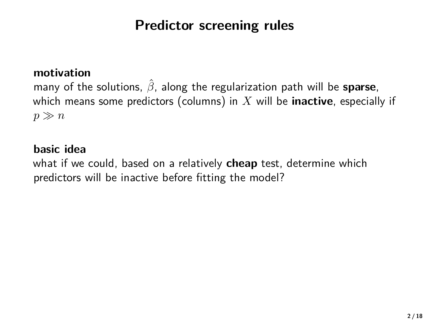## **Predictor screening rules**

#### **motivation**

many of the solutions, *β*ˆ, along the regularization path will be **sparse**, which means some predictors (columns) in *X* will be **inactive**, especially if  $p \gg n$ 

#### **basic idea**

what if we could, based on a relatively **cheap** test, determine which predictors will be inactive before fitting the model?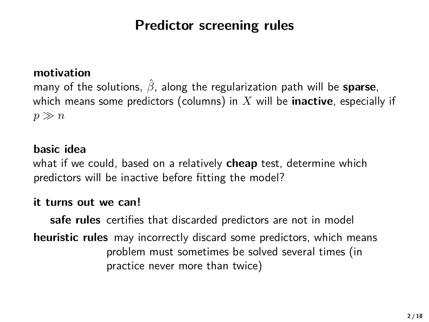## **Predictor screening rules**

#### **motivation**

many of the solutions, *β*ˆ, along the regularization path will be **sparse**, which means some predictors (columns) in *X* will be **inactive**, especially if  $p \gg n$ 

#### **basic idea**

what if we could, based on a relatively **cheap** test, determine which predictors will be inactive before fitting the model?

#### **it turns out we can!**

**safe rules** certifies that discarded predictors are not in model **heuristic rules** may incorrectly discard some predictors, which means problem must sometimes be solved several times (in practice never more than twice)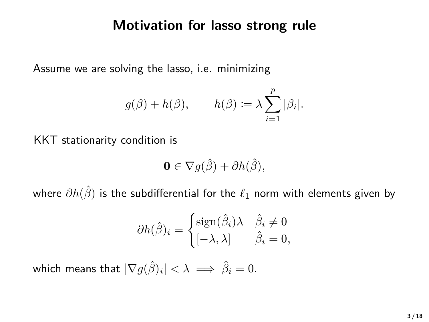#### **Motivation for lasso strong rule**

Assume we are solving the lasso, i.e. minimizing

$$
g(\beta) + h(\beta),
$$
  $h(\beta) := \lambda \sum_{i=1}^{p} |\beta_i|.$ 

KKT stationarity condition is

$$
\mathbf{0} \in \nabla g(\hat{\beta}) + \partial h(\hat{\beta}),
$$

where  $\partial h(\hat{\beta})$  is the subdifferential for the  $\ell_1$  norm with elements given by

$$
\partial h(\hat{\beta})_i = \begin{cases} \text{sign}(\hat{\beta}_i) \lambda & \hat{\beta}_i \neq 0 \\ [-\lambda, \lambda] & \hat{\beta}_i = 0, \end{cases}
$$

which means that  $|\nabla g(\hat{\beta})_i| < \lambda \implies \hat{\beta}_i = 0$ .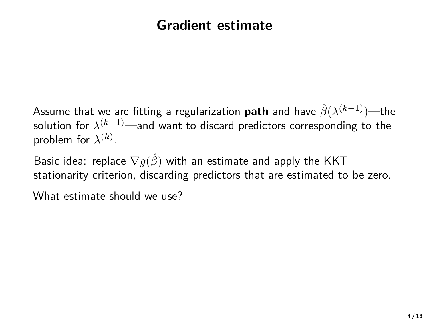### **Gradient estimate**

Assume that we are fitting a regularization **path** and have *β*ˆ(*λ* (*k*−1))—the solution for *λ* (*k*−1)—and want to discard predictors corresponding to the problem for  $\lambda^{(k)}$ .

Basic idea: replace  $\nabla g(\hat{\beta})$  with an estimate and apply the KKT stationarity criterion, discarding predictors that are estimated to be zero.

What estimate should we use?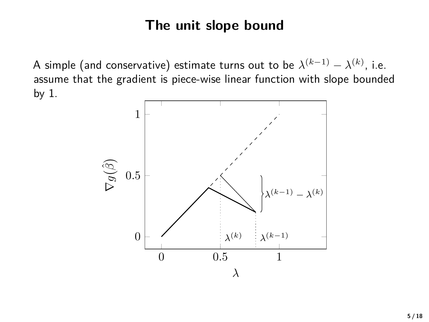### **The unit slope bound**

A simple (and conservative) estimate turns out to be  $\lambda^{(k-1)} - \lambda^{(k)}$ , i.e. assume that the gradient is piece-wise linear function with slope bounded by 1.

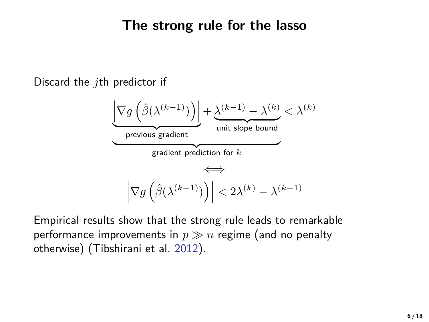#### **The strong rule for the lasso**

Discard the *j*th predictor if

$$
\underbrace{\left|\nabla g\left(\hat{\beta}(\lambda^{(k-1)})\right)\right|}_{\text{previous gradient}} + \underbrace{\lambda^{(k-1)} - \lambda^{(k)}}_{\text{unit slope bound}} < \lambda^{(k)}\\ \underbrace{\left|\nabla g\left(\hat{\beta}(\lambda^{(k-1)})\right)\right|}_{\text{gradient prediction for } k} < \lambda^{(k)}
$$

Empirical results show that the strong rule leads to remarkable performance improvements in  $p \gg n$  regime (and no penalty otherwise) (Tibshirani et al. [2012\)](#page-21-1).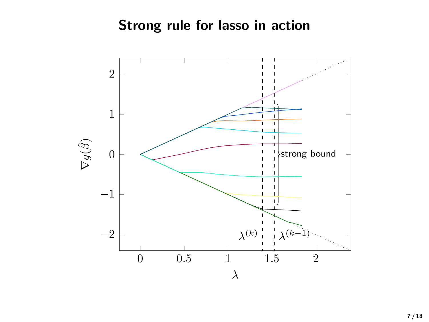## **Strong rule for lasso in action**

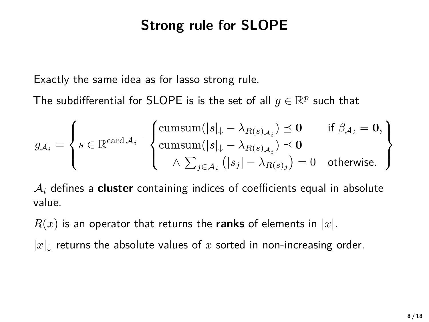## **Strong rule for SLOPE**

Exactly the same idea as for lasso strong rule.

The subdifferential for SLOPE is is the set of all  $g \in \mathbb{R}^p$  such that

$$
g_{\mathcal{A}_i} = \left\{ s \in \mathbb{R}^{\text{card } \mathcal{A}_i} \mid \left\{ \begin{aligned} &\text{cumsum}(|s|_\downarrow - \lambda_{R(s)_{\mathcal{A}_i}}) \preceq \mathbf{0} \qquad \text{if } \beta_{\mathcal{A}_i} = \mathbf{0}, \\ &\text{cumsum}(|s|_\downarrow - \lambda_{R(s)_{\mathcal{A}_i}}) \preceq \mathbf{0} \\ &\land \sum_{j \in \mathcal{A}_i} \left(|s_j| - \lambda_{R(s)_j}\right) = 0 \quad \text{otherwise.}\end{aligned} \right\}
$$

A*<sup>i</sup>* defines a **cluster** containing indices of coefficients equal in absolute value.

 $R(x)$  is an operator that returns the **ranks** of elements in |x|.

 $|x|_1$  returns the absolute values of x sorted in non-increasing order.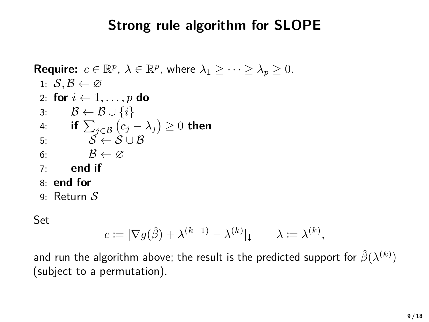## **Strong rule algorithm for SLOPE**

```
Require: c \in \mathbb{R}^p, \lambda \in \mathbb{R}^p, where \lambda_1 \geq \cdots \geq \lambda_p \geq 0.
1: S, B \leftarrow \varnothing2: for i \leftarrow 1, \ldots, p do
3: \mathcal{B} \leftarrow \mathcal{B} \cup \{i\}4: if \sum_{j \in \mathcal{B}} (c_j - \lambda_j) \ge 0 then
 5: S \leftarrow S \cup B6: \mathcal{B} \leftarrow \varnothing7: end if
8: end for
9: Return S
```
Set

$$
c \coloneqq |\nabla g(\hat{\beta}) + \lambda^{(k-1)} - \lambda^{(k)}|_\downarrow \qquad \lambda \coloneqq \lambda^{(k)},
$$

and run the algorithm above; the result is the predicted support for  $\hat{\beta}(\lambda^{(k)})$ (subject to a permutation).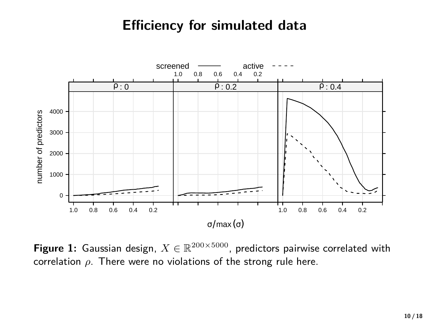#### **Efficiency for simulated data**



**Figure 1:** Gaussian design,  $X \in \mathbb{R}^{200 \times 5000}$ , predictors pairwise correlated with correlation *ρ*. There were no violations of the strong rule here.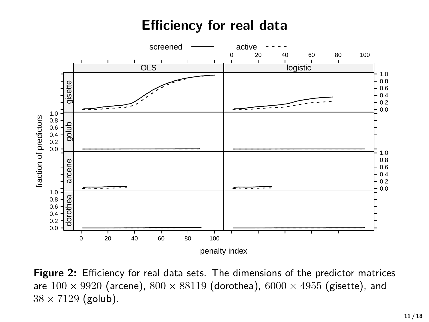### **Efficiency for real data**



**Figure 2:** Efficiency for real data sets. The dimensions of the predictor matrices are  $100 \times 9920$  (arcene),  $800 \times 88119$  (dorothea),  $6000 \times 4955$  (gisette), and  $38 \times 7129$  (golub).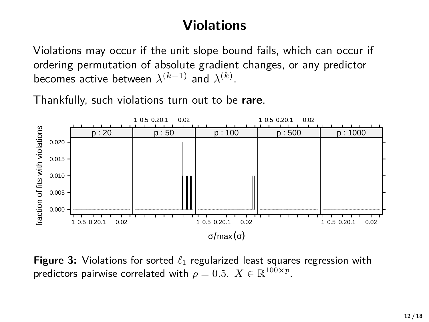## **Violations**

Violations may occur if the unit slope bound fails, which can occur if ordering permutation of absolute gradient changes, or any predictor becomes active between  $\lambda^{(k-1)}$  and  $\lambda^{(k)}$ .

Thankfully, such violations turn out to be **rare**.



**Figure 3:** Violations for sorted  $\ell_1$  regularized least squares regression with predictors pairwise correlated with  $\rho=0.5$ .  $X\in\mathbb{R}^{100\times p}.$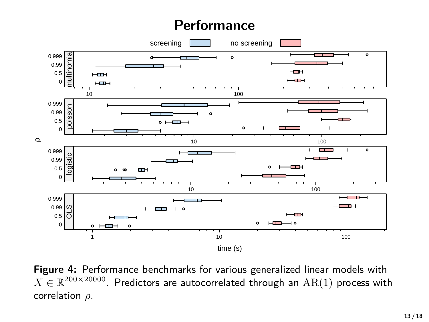### **Performance**



**Figure 4:** Performance benchmarks for various generalized linear models with  $X \in \mathbb{R}^{200 \times 20000}$ . Predictors are autocorrelated through an  $\text{AR}(1)$  process with correlation *ρ*.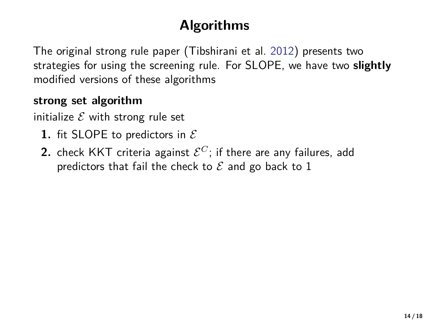# **Algorithms**

The original strong rule paper (Tibshirani et al. [2012\)](#page-21-1) presents two strategies for using the screening rule. For SLOPE, we have two **slightly** modified versions of these algorithms

#### **strong set algorithm**

initialize  $\mathcal E$  with strong rule set

- **1.** fit SLOPE to predictors in  $\mathcal E$
- **2.** check KKT criteria against  $\mathcal{E}^C$ ; if there are any failures, add predictors that fail the check to  $\mathcal E$  and go back to 1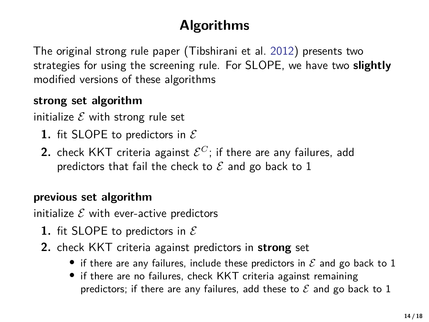# **Algorithms**

The original strong rule paper (Tibshirani et al. [2012\)](#page-21-1) presents two strategies for using the screening rule. For SLOPE, we have two **slightly** modified versions of these algorithms

#### **strong set algorithm**

initialize  $\mathcal E$  with strong rule set

- **1.** fit SLOPE to predictors in  $\mathcal{E}$
- **2.** check KKT criteria against  $\mathcal{E}^C$ ; if there are any failures, add predictors that fail the check to  $\mathcal E$  and go back to 1

#### **previous set algorithm**

initialize  $\mathcal E$  with ever-active predictors

- **1.** fit SLOPE to predictors in  $\mathcal E$
- **2.** check KKT criteria against predictors in **strong** set
	- if there are any failures, include these predictors in  $\mathcal E$  and go back to 1
	- if there are no failures, check KKT criteria against remaining predictors; if there are any failures, add these to  $\mathcal E$  and go back to 1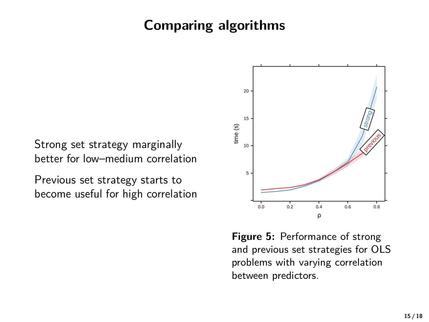## **Comparing algorithms**

Strong set strategy marginally better for low–medium correlation

Previous set strategy starts to become useful for high correlation



**Figure 5:** Performance of strong and previous set strategies for OLS problems with varying correlation between predictors.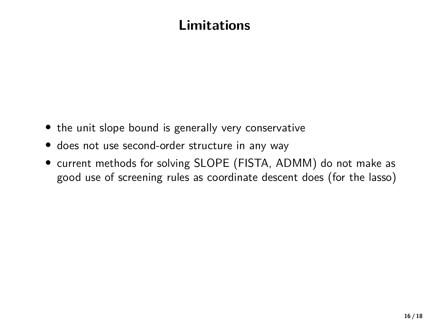## **Limitations**

- the unit slope bound is generally very conservative
- does not use second-order structure in any way
- current methods for solving SLOPE (FISTA, ADMM) do not make as good use of screening rules as coordinate descent does (for the lasso)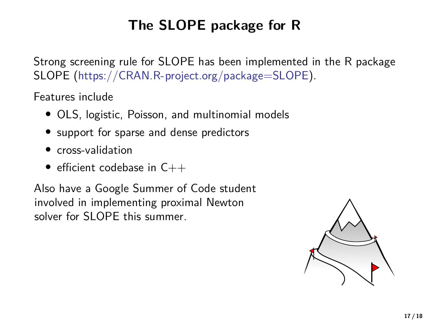# **The SLOPE package for R**

Strong screening rule for SLOPE has been implemented in the R package SLOPE [\(https://CRAN.R-project.org/package=SLOPE\)](https://CRAN.R-project.org/package=SLOPE).

Features include

- OLS, logistic, Poisson, and multinomial models
- support for sparse and dense predictors
- cross-validation
- efficient codebase in  $C++$

Also have a Google Summer of Code student involved in implementing proximal Newton solver for SLOPE this summer.